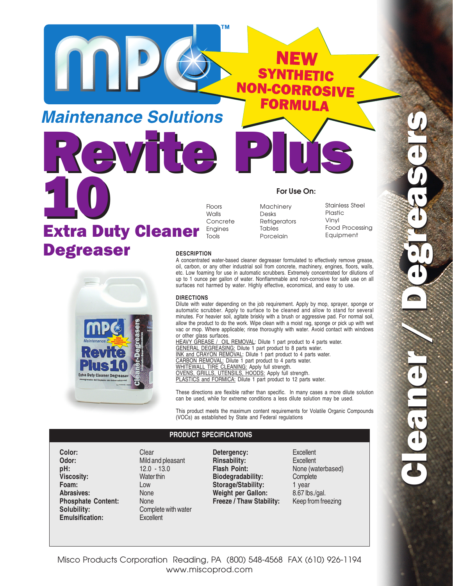**Maintenance Solutions** Revite Plus





Floors **Walls** Concrete Engines Tools

**Machinery** Desks **Refrigerators** Tables Porcelain

**For Use On:**

Stainless Steel Plastic Vinyl

A concentrated water-based cleaner degreaser formulated to effectively remove grease,

**NON** 

oil, carbon, or any other industrial soil from concrete, machinery, engines, floors, walls, etc. Low foaming for use in automatic scrubbers. Extremely concentrated for dilutions of up to 1 ounce per gallon of water. Nonflammable and non-corrosive for safe use on all surfaces not harmed by water. Highly effective, economical, and easy to use.

## **DIRECTIONS**

Dilute with water depending on the job requirement. Apply by mop, sprayer, sponge or automatic scrubber. Apply to surface to be cleaned and allow to stand for several minutes. For heavier soil, agitate briskly with a brush or aggressive pad. For normal soil, allow the product to do the work. Wipe clean with a moist rag, sponge or pick up with wet vac or mop. Where applicable; rinse thoroughly with water. Avoid contact with windows or other glass surfaces.

HEAVY GREASE / OIL REMOVAL: Dilute 1 part product to 4 parts water. GENERAL DEGREASING: Dilute 1 part product to 8 parts water. INK and CRAYON REMOVAL: Dilute 1 part product to 4 parts water. CARBON REMOVAL: Dilute 1 part product to 4 parts water. WHITEWALL TIRE CLEANING: Apply full strength. OVENS, GRILLS, UTENSILS, HOODS: Apply full strength. PLASTICS and FORMICA: Dilute 1 part product to 12 parts water.

These directions are flexible rather than specific. In many cases a more dilute solution can be used, while for extreme conditions a less dilute solution may be used.

This product meets the maximum content requirements for Volatile Organic Compounds (VOCs) as established by State and Federal regulations

## **PRODUCT SPECIFICATIONS**

**Color:** Clear Clear Clear Clear Clear Clear Clear Clear Clear Clear Clear Clear Clear Clear Clear Clear Clear Clear Clear Clear Clear Clear Clear Clear Clear Clear Clear Clear Clear Clear Clear Clear Clear Clear Clear Cle **pH:** 12.0 - 13.0 **Viscosity:** Water thin<br> **Foam:** Low Foam: Abrasives: None **Phosphate Content:** None<br>**Solubility:** Comp **Emulsification:** Excellent

**Odor:** Mild and pleasant **Complete with water**  **Detergency:**<br> **Rinsability:**<br> **Excellent Rinsability:**<br>Flash Point: **Biodegradability:** Complete **Storage/Stability:** 1 year Weight per Gallon: 8.67 lbs./gal. **Freeze / Thaw Stability:** Keep from freezing

**Flash Point:** None (waterbased)

Misco Products Corporation Reading, PA (800) 548-4568 FAX (610) 926-1194 www.miscoprod.com